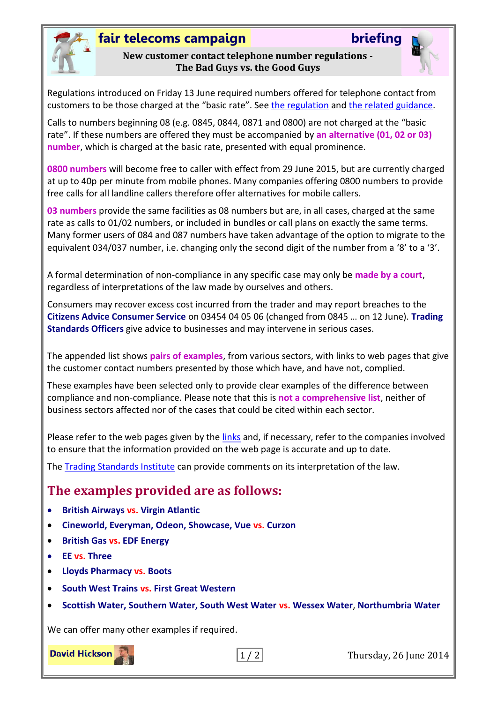

## **fair telecoms campaign briefing**

#### **New customer contact telephone number regulations - The Bad Guys vs. the Good Guys**



Regulations introduced on Friday 13 June required numbers offered for telephone contact from customers to be those charged at the "basic rate". See [the regulation](http://www.legislation.gov.uk/uksi/2013/3134/regulation/41/made) and [the related guidance.](https://www.gov.uk/government/uploads/system/uploads/attachment_data/file/310044/bis-13-1368-consumer-contracts-information-cancellation-and-additional-payments-regulations-guidance.pdf#page=23)

Calls to numbers beginning 08 (e.g. 0845, 0844, 0871 and 0800) are not charged at the "basic rate". If these numbers are offered they must be accompanied by **an alternative (01, 02 or 03) number**, which is charged at the basic rate, presented with equal prominence.

**0800 numbers** will become free to caller with effect from 29 June 2015, but are currently charged at up to 40p per minute from mobile phones. Many companies offering 0800 numbers to provide free calls for all landline callers therefore offer alternatives for mobile callers.

**03 numbers** provide the same facilities as 08 numbers but are, in all cases, charged at the same rate as calls to 01/02 numbers, or included in bundles or call plans on exactly the same terms. Many former users of 084 and 087 numbers have taken advantage of the option to migrate to the equivalent 034/037 number, i.e. changing only the second digit of the number from a '8' to a '3'.

A formal determination of non-compliance in any specific case may only be **made by a court**, regardless of interpretations of the law made by ourselves and others.

Consumers may recover excess cost incurred from the trader and may report breaches to the **Citizens Advice Consumer Service** on 03454 04 05 06 (changed from 0845 … on 12 June). **Trading Standards Officers** give advice to businesses and may intervene in serious cases.

The appended list shows **pairs of examples**, from various sectors, with links to web pages that give the customer contact numbers presented by those which have, and have not, complied.

These examples have been selected only to provide clear examples of the difference between compliance and non-compliance. Please note that this is **not a comprehensive list**, neither of business sectors affected nor of the cases that could be cited within each sector.

Please refer to the web pages given by the links and, if necessary, refer to the companies involved to ensure that the information provided on the web page is accurate and up to date.

The [Trading Standards Institute](mailto:pressoffice@tsi.org.uk) can provide comments on its interpretation of the law.

### **The examples provided are as follows:**

- **British Airways vs. Virgin Atlantic**
- **Cineworld, Everyman, Odeon, Showcase, Vue vs. Curzon**
- **British Gas vs. EDF Energy**
- **EE vs. Three**
- **Lloyds Pharmacy vs. Boots**
- **South West Trains vs. First Great Western**
- **Scottish Water, Southern Water, South West Water vs. Wessex Water**, **Northumbria Water**

We can offer many other examples if required.



1 / 2 Thursday, 26 June 2014